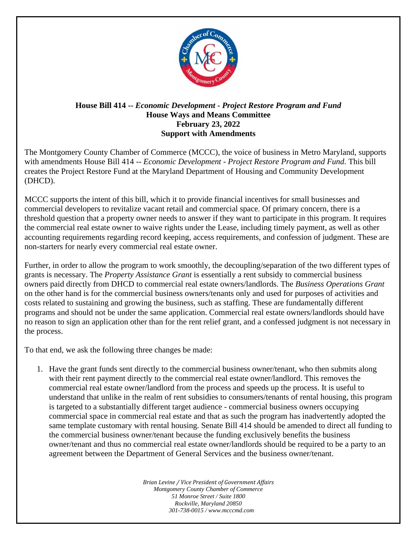

## **House Bill 414 --** *Economic Development - Project Restore Program and Fund* **House Ways and Means Committee February 23, 2022 Support with Amendments**

The Montgomery County Chamber of Commerce (MCCC), the voice of business in Metro Maryland, supports with amendments House Bill 414 -- *Economic Development - Project Restore Program and Fund*. This bill creates the Project Restore Fund at the Maryland Department of Housing and Community Development (DHCD).

MCCC supports the intent of this bill, which it to provide financial incentives for small businesses and commercial developers to revitalize vacant retail and commercial space. Of primary concern, there is a threshold question that a property owner needs to answer if they want to participate in this program. It requires the commercial real estate owner to waive rights under the Lease, including timely payment, as well as other accounting requirements regarding record keeping, access requirements, and confession of judgment. These are non-starters for nearly every commercial real estate owner.

Further, in order to allow the program to work smoothly, the decoupling/separation of the two different types of grants is necessary. The *Property Assistance Grant* is essentially a rent subsidy to commercial business owners paid directly from DHCD to commercial real estate owners/landlords. The *Business Operations Grant* on the other hand is for the commercial business owners/tenants only and used for purposes of activities and costs related to sustaining and growing the business, such as staffing. These are fundamentally different programs and should not be under the same application. Commercial real estate owners/landlords should have no reason to sign an application other than for the rent relief grant, and a confessed judgment is not necessary in the process.

To that end, we ask the following three changes be made:

1. Have the grant funds sent directly to the commercial business owner/tenant, who then submits along with their rent payment directly to the commercial real estate owner/landlord. This removes the commercial real estate owner/landlord from the process and speeds up the process. It is useful to understand that unlike in the realm of rent subsidies to consumers/tenants of rental housing, this program is targeted to a substantially different target audience - commercial business owners occupying commercial space in commercial real estate and that as such the program has inadvertently adopted the same template customary with rental housing. Senate Bill 414 should be amended to direct all funding to the commercial business owner/tenant because the funding exclusively benefits the business owner/tenant and thus no commercial real estate owner/landlords should be required to be a party to an agreement between the Department of General Services and the business owner/tenant.

> *Brian Levine / Vice President of Government Affairs Montgomery County Chamber of Commerce 51 Monroe Street / Suite 1800 Rockville, Maryland 20850 301-738-0015 / www.mcccmd.com*